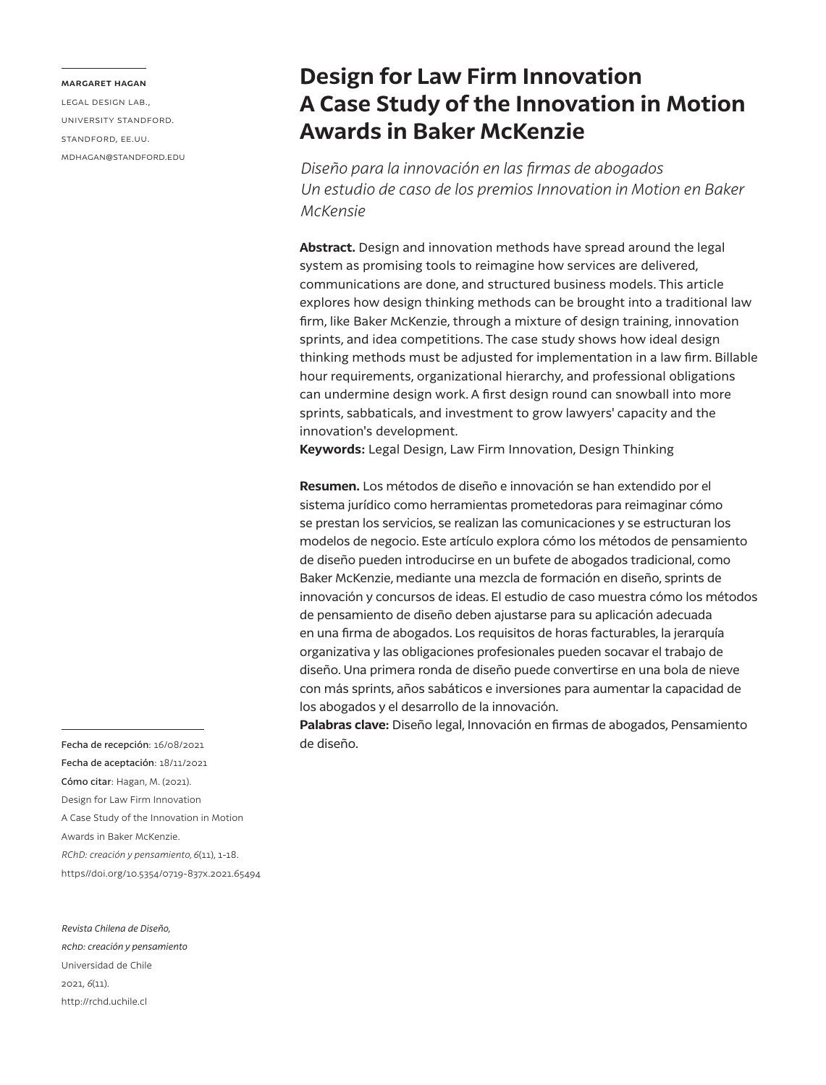#### **margaret hagan**

legal design lab., university standford. standford, ee.uu. mdhagan@standford.edu

# **Design for Law Firm Innovation A Case Study of the Innovation in Motion Awards in Baker McKenzie**

*Diseño para la innovación en las firmas de abogados Un estudio de caso de los premios Innovation in Motion en Baker McKensie*

**Abstract.** Design and innovation methods have spread around the legal system as promising tools to reimagine how services are delivered, communications are done, and structured business models. This article explores how design thinking methods can be brought into a traditional law firm, like Baker McKenzie, through a mixture of design training, innovation sprints, and idea competitions. The case study shows how ideal design thinking methods must be adjusted for implementation in a law firm. Billable hour requirements, organizational hierarchy, and professional obligations can undermine design work. A first design round can snowball into more sprints, sabbaticals, and investment to grow lawyers' capacity and the innovation's development.

**Keywords:** Legal Design, Law Firm Innovation, Design Thinking

**Resumen.** Los métodos de diseño e innovación se han extendido por el sistema jurídico como herramientas prometedoras para reimaginar cómo se prestan los servicios, se realizan las comunicaciones y se estructuran los modelos de negocio. Este artículo explora cómo los métodos de pensamiento de diseño pueden introducirse en un bufete de abogados tradicional, como Baker McKenzie, mediante una mezcla de formación en diseño, sprints de innovación y concursos de ideas. El estudio de caso muestra cómo los métodos de pensamiento de diseño deben ajustarse para su aplicación adecuada en una firma de abogados. Los requisitos de horas facturables, la jerarquía organizativa y las obligaciones profesionales pueden socavar el trabajo de diseño. Una primera ronda de diseño puede convertirse en una bola de nieve con más sprints, años sabáticos e inversiones para aumentar la capacidad de los abogados y el desarrollo de la innovación.

**Palabras clave:** Diseño legal, Innovación en firmas de abogados, Pensamiento de diseño.

Fecha de recepción: 16/08/2021 Fecha de aceptación: 18/11/2021 Cómo citar: Hagan, M. (2021). Design for Law Firm Innovation A Case Study of the Innovation in Motion Awards in Baker McKenzie. *RChD: creación y pensamiento, 6*(11), 1-18. https//doi.org/10.5354/0719-837x.2021.65494

#### *Revista Chilena de Diseño,*

*rchd: creación y pensamiento* Universidad de Chile 2021, *6*(11). http://rchd.uchile.cl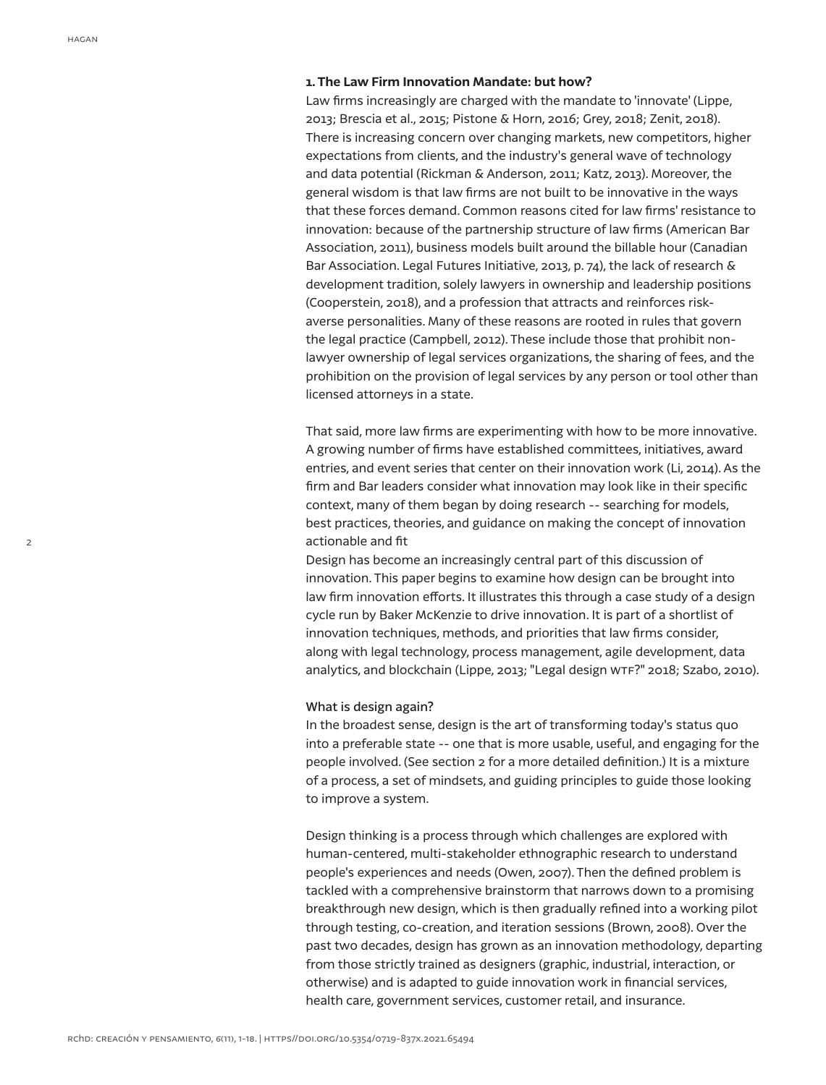#### **1. The Law Firm Innovation Mandate: but how?**

Law firms increasingly are charged with the mandate to 'innovate' (Lippe, 2013; Brescia et al., 2015; Pistone & Horn, 2016; Grey, 2018; Zenit, 2018). There is increasing concern over changing markets, new competitors, higher expectations from clients, and the industry's general wave of technology and data potential (Rickman & Anderson, 2011; Katz, 2013). Moreover, the general wisdom is that law firms are not built to be innovative in the ways that these forces demand. Common reasons cited for law firms' resistance to innovation: because of the partnership structure of law firms (American Bar Association, 2011), business models built around the billable hour (Canadian Bar Association. Legal Futures Initiative, 2013, p. 74), the lack of research & development tradition, solely lawyers in ownership and leadership positions (Cooperstein, 2018), and a profession that attracts and reinforces riskaverse personalities. Many of these reasons are rooted in rules that govern the legal practice (Campbell, 2012). These include those that prohibit nonlawyer ownership of legal services organizations, the sharing of fees, and the prohibition on the provision of legal services by any person or tool other than licensed attorneys in a state.

That said, more law firms are experimenting with how to be more innovative. A growing number of firms have established committees, initiatives, award entries, and event series that center on their innovation work (Li, 2014). As the firm and Bar leaders consider what innovation may look like in their specific context, many of them began by doing research -- searching for models, best practices, theories, and guidance on making the concept of innovation actionable and fit

Design has become an increasingly central part of this discussion of innovation. This paper begins to examine how design can be brought into law firm innovation efforts. It illustrates this through a case study of a design cycle run by Baker McKenzie to drive innovation. It is part of a shortlist of innovation techniques, methods, and priorities that law firms consider, along with legal technology, process management, agile development, data analytics, and blockchain (Lippe, 2013; "Legal design WTF?" 2018; Szabo, 2010).

## What is design again?

In the broadest sense, design is the art of transforming today's status quo into a preferable state -- one that is more usable, useful, and engaging for the people involved. (See section 2 for a more detailed definition.) It is a mixture of a process, a set of mindsets, and guiding principles to guide those looking to improve a system.

Design thinking is a process through which challenges are explored with human-centered, multi-stakeholder ethnographic research to understand people's experiences and needs (Owen, 2007). Then the defined problem is tackled with a comprehensive brainstorm that narrows down to a promising breakthrough new design, which is then gradually refined into a working pilot through testing, co-creation, and iteration sessions (Brown, 2008). Over the past two decades, design has grown as an innovation methodology, departing from those strictly trained as designers (graphic, industrial, interaction, or otherwise) and is adapted to guide innovation work in financial services, health care, government services, customer retail, and insurance.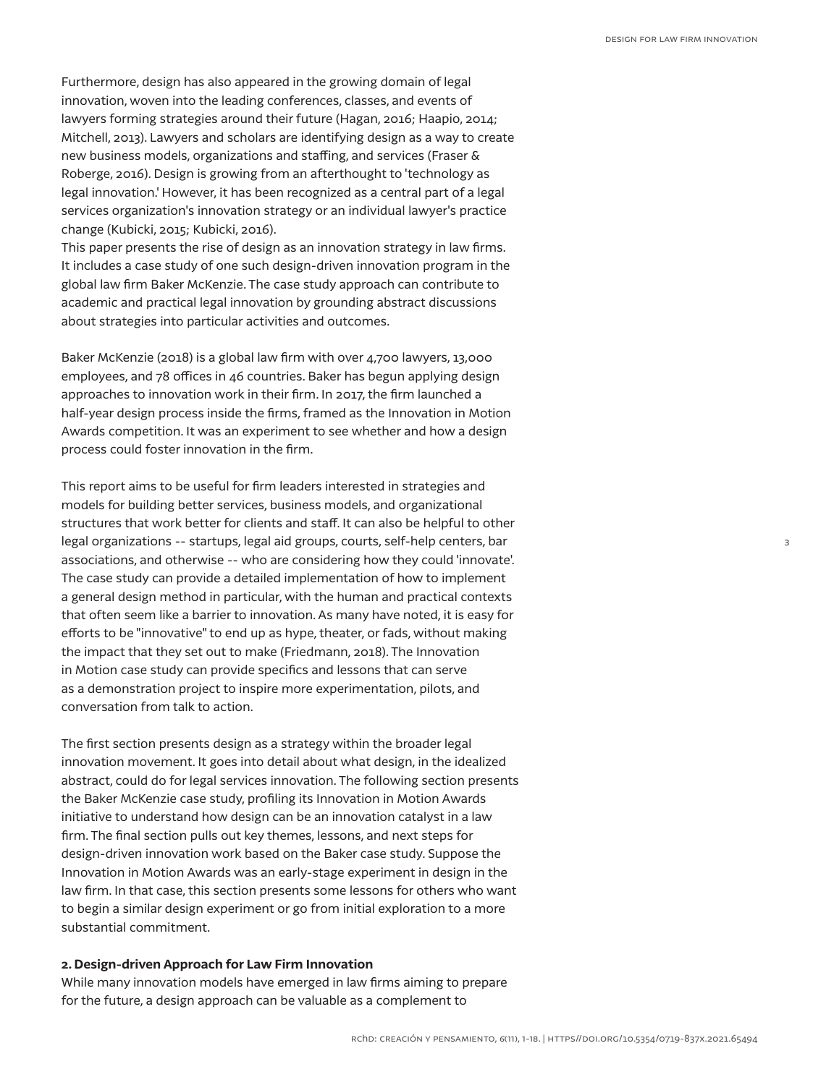Furthermore, design has also appeared in the growing domain of legal innovation, woven into the leading conferences, classes, and events of lawyers forming strategies around their future (Hagan, 2016; Haapio, 2014; Mitchell, 2013). Lawyers and scholars are identifying design as a way to create new business models, organizations and staffing, and services (Fraser & Roberge, 2016). Design is growing from an afterthought to 'technology as legal innovation.' However, it has been recognized as a central part of a legal services organization's innovation strategy or an individual lawyer's practice change (Kubicki, 2015; Kubicki, 2016).

This paper presents the rise of design as an innovation strategy in law firms. It includes a case study of one such design-driven innovation program in the global law firm Baker McKenzie. The case study approach can contribute to academic and practical legal innovation by grounding abstract discussions about strategies into particular activities and outcomes.

Baker McKenzie (2018) is a global law firm with over 4,700 lawyers, 13,000 employees, and 78 offices in 46 countries. Baker has begun applying design approaches to innovation work in their firm. In 2017, the firm launched a half-year design process inside the firms, framed as the Innovation in Motion Awards competition. It was an experiment to see whether and how a design process could foster innovation in the firm.

This report aims to be useful for firm leaders interested in strategies and models for building better services, business models, and organizational structures that work better for clients and staff. It can also be helpful to other legal organizations -- startups, legal aid groups, courts, self-help centers, bar associations, and otherwise -- who are considering how they could 'innovate'. The case study can provide a detailed implementation of how to implement a general design method in particular, with the human and practical contexts that often seem like a barrier to innovation. As many have noted, it is easy for efforts to be "innovative" to end up as hype, theater, or fads, without making the impact that they set out to make (Friedmann, 2018). The Innovation in Motion case study can provide specifics and lessons that can serve as a demonstration project to inspire more experimentation, pilots, and conversation from talk to action.

The first section presents design as a strategy within the broader legal innovation movement. It goes into detail about what design, in the idealized abstract, could do for legal services innovation. The following section presents the Baker McKenzie case study, profiling its Innovation in Motion Awards initiative to understand how design can be an innovation catalyst in a law firm. The final section pulls out key themes, lessons, and next steps for design-driven innovation work based on the Baker case study. Suppose the Innovation in Motion Awards was an early-stage experiment in design in the law firm. In that case, this section presents some lessons for others who want to begin a similar design experiment or go from initial exploration to a more substantial commitment.

## **2. Design-driven Approach for Law Firm Innovation**

While many innovation models have emerged in law firms aiming to prepare for the future, a design approach can be valuable as a complement to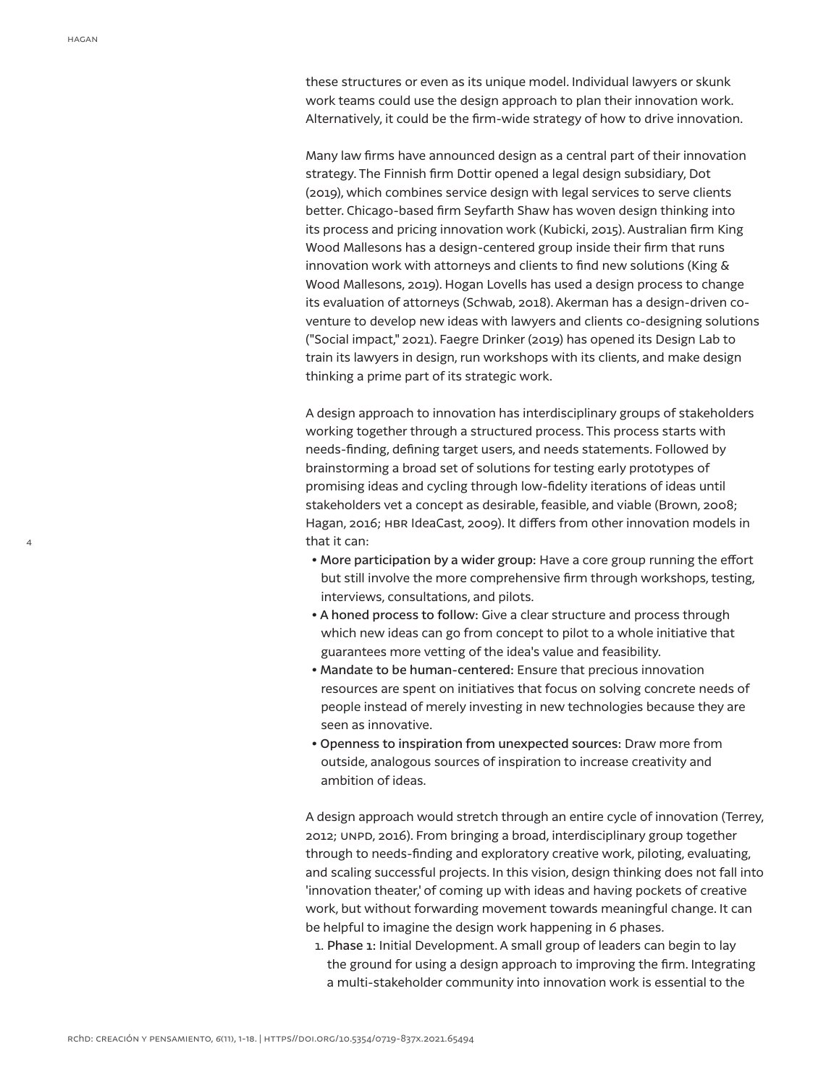4

these structures or even as its unique model. Individual lawyers or skunk work teams could use the design approach to plan their innovation work. Alternatively, it could be the firm-wide strategy of how to drive innovation.

Many law firms have announced design as a central part of their innovation strategy. The Finnish firm Dottir opened a legal design subsidiary, Dot (2019), which combines service design with legal services to serve clients better. Chicago-based firm Seyfarth Shaw has woven design thinking into its process and pricing innovation work (Kubicki, 2015). Australian firm King Wood Mallesons has a design-centered group inside their firm that runs innovation work with attorneys and clients to find new solutions (King & Wood Mallesons, 2019). Hogan Lovells has used a design process to change its evaluation of attorneys (Schwab, 2018). Akerman has a design-driven coventure to develop new ideas with lawyers and clients co-designing solutions ("Social impact," 2021). Faegre Drinker (2019) has opened its Design Lab to train its lawyers in design, run workshops with its clients, and make design thinking a prime part of its strategic work.

A design approach to innovation has interdisciplinary groups of stakeholders working together through a structured process. This process starts with needs-finding, defining target users, and needs statements. Followed by brainstorming a broad set of solutions for testing early prototypes of promising ideas and cycling through low-fidelity iterations of ideas until stakeholders vet a concept as desirable, feasible, and viable (Brown, 2008; Hagan, 2016; HBR IdeaCast, 2009). It differs from other innovation models in that it can:

- More participation by a wider group: Have a core group running the effort but still involve the more comprehensive firm through workshops, testing, interviews, consultations, and pilots.
- **•** A honed process to follow: Give a clear structure and process through which new ideas can go from concept to pilot to a whole initiative that guarantees more vetting of the idea's value and feasibility.
- Mandate to be human-centered: Ensure that precious innovation resources are spent on initiatives that focus on solving concrete needs of people instead of merely investing in new technologies because they are seen as innovative.
- Openness to inspiration from unexpected sources: Draw more from outside, analogous sources of inspiration to increase creativity and ambition of ideas.

A design approach would stretch through an entire cycle of innovation (Terrey, 2012; unpd, 2016). From bringing a broad, interdisciplinary group together through to needs-finding and exploratory creative work, piloting, evaluating, and scaling successful projects. In this vision, design thinking does not fall into 'innovation theater,' of coming up with ideas and having pockets of creative work, but without forwarding movement towards meaningful change. It can be helpful to imagine the design work happening in 6 phases.

1. Phase 1: Initial Development. A small group of leaders can begin to lay the ground for using a design approach to improving the firm. Integrating a multi-stakeholder community into innovation work is essential to the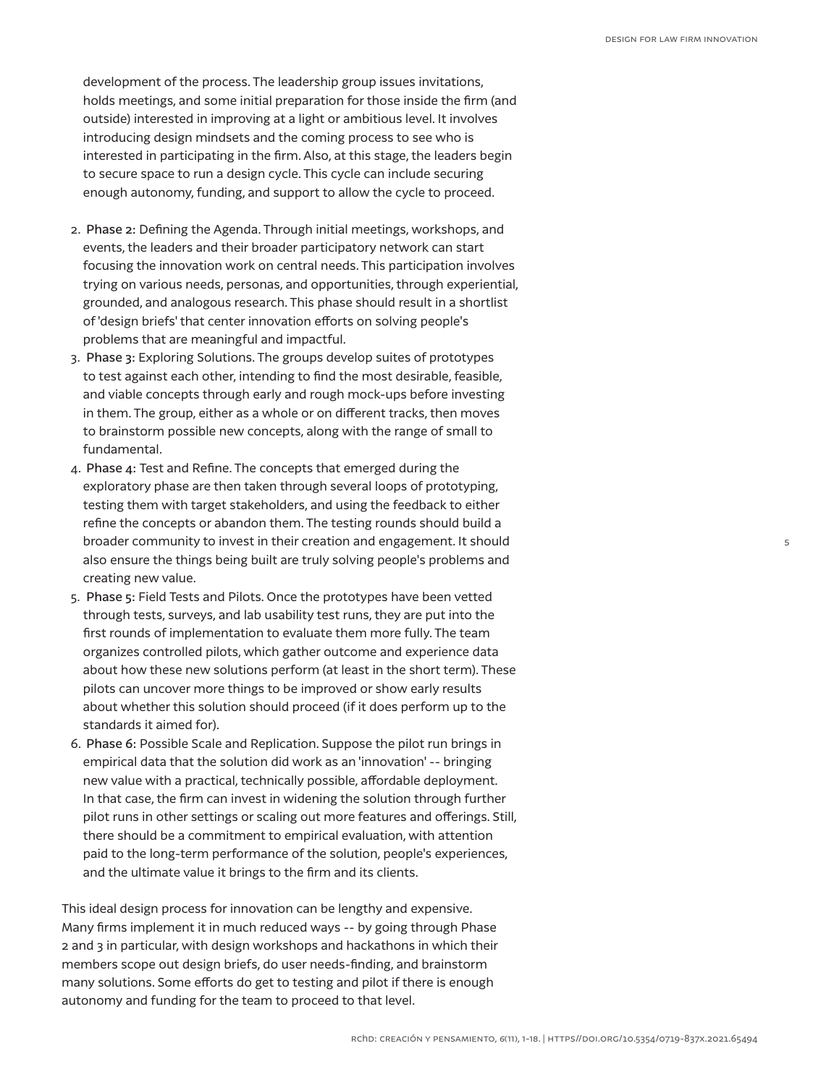development of the process. The leadership group issues invitations, holds meetings, and some initial preparation for those inside the firm (and outside) interested in improving at a light or ambitious level. It involves introducing design mindsets and the coming process to see who is interested in participating in the firm. Also, at this stage, the leaders begin to secure space to run a design cycle. This cycle can include securing enough autonomy, funding, and support to allow the cycle to proceed.

- 2. Phase 2: Defining the Agenda. Through initial meetings, workshops, and events, the leaders and their broader participatory network can start focusing the innovation work on central needs. This participation involves trying on various needs, personas, and opportunities, through experiential, grounded, and analogous research. This phase should result in a shortlist of 'design briefs' that center innovation efforts on solving people's problems that are meaningful and impactful.
- 3. Phase 3: Exploring Solutions. The groups develop suites of prototypes to test against each other, intending to find the most desirable, feasible, and viable concepts through early and rough mock-ups before investing in them. The group, either as a whole or on different tracks, then moves to brainstorm possible new concepts, along with the range of small to fundamental.
- 4. Phase 4: Test and Refine. The concepts that emerged during the exploratory phase are then taken through several loops of prototyping, testing them with target stakeholders, and using the feedback to either refine the concepts or abandon them. The testing rounds should build a broader community to invest in their creation and engagement. It should also ensure the things being built are truly solving people's problems and creating new value.
- 5. Phase 5: Field Tests and Pilots. Once the prototypes have been vetted through tests, surveys, and lab usability test runs, they are put into the first rounds of implementation to evaluate them more fully. The team organizes controlled pilots, which gather outcome and experience data about how these new solutions perform (at least in the short term). These pilots can uncover more things to be improved or show early results about whether this solution should proceed (if it does perform up to the standards it aimed for).
- 6. Phase 6: Possible Scale and Replication. Suppose the pilot run brings in empirical data that the solution did work as an 'innovation' -- bringing new value with a practical, technically possible, affordable deployment. In that case, the firm can invest in widening the solution through further pilot runs in other settings or scaling out more features and offerings. Still, there should be a commitment to empirical evaluation, with attention paid to the long-term performance of the solution, people's experiences, and the ultimate value it brings to the firm and its clients.

This ideal design process for innovation can be lengthy and expensive. Many firms implement it in much reduced ways -- by going through Phase 2 and 3 in particular, with design workshops and hackathons in which their members scope out design briefs, do user needs-finding, and brainstorm many solutions. Some efforts do get to testing and pilot if there is enough autonomy and funding for the team to proceed to that level.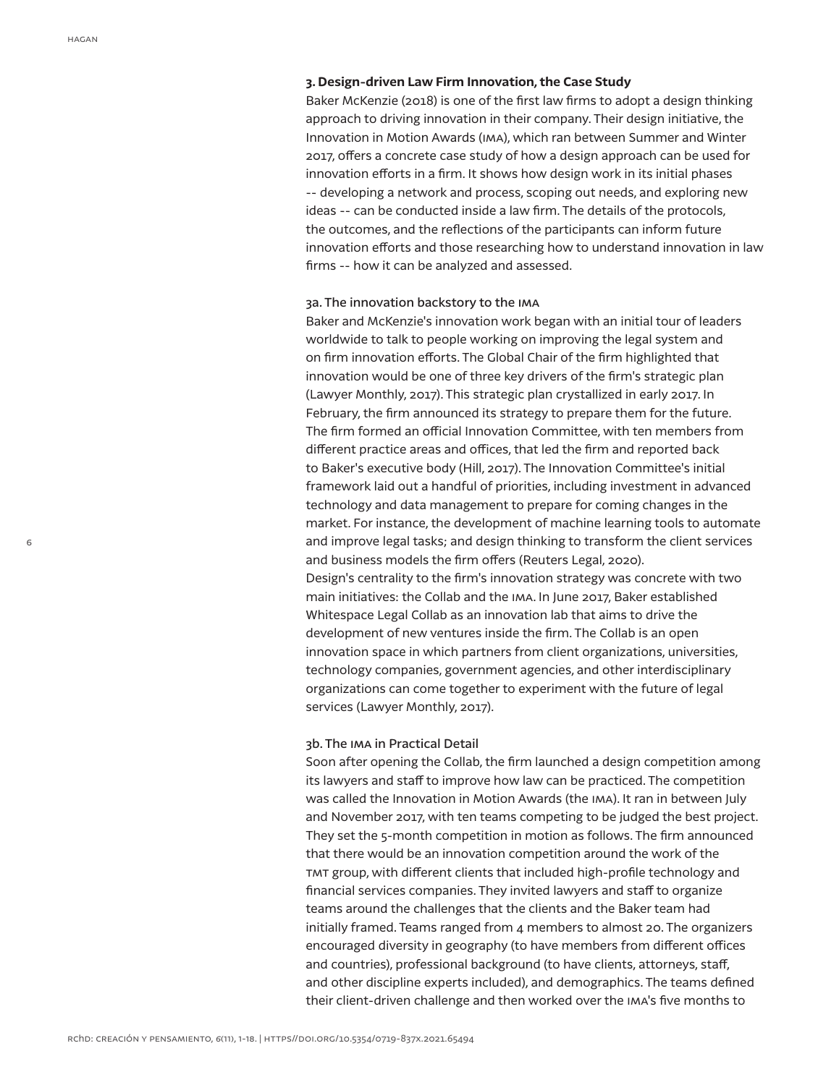## **3. Design-driven Law Firm Innovation, the Case Study**

Baker McKenzie (2018) is one of the first law firms to adopt a design thinking approach to driving innovation in their company. Their design initiative, the Innovation in Motion Awards (ima), which ran between Summer and Winter 2017, offers a concrete case study of how a design approach can be used for innovation efforts in a firm. It shows how design work in its initial phases -- developing a network and process, scoping out needs, and exploring new ideas -- can be conducted inside a law firm. The details of the protocols, the outcomes, and the reflections of the participants can inform future innovation efforts and those researching how to understand innovation in law firms -- how it can be analyzed and assessed.

## 3a. The innovation backstory to the ima

Baker and McKenzie's innovation work began with an initial tour of leaders worldwide to talk to people working on improving the legal system and on firm innovation efforts. The Global Chair of the firm highlighted that innovation would be one of three key drivers of the firm's strategic plan (Lawyer Monthly, 2017). This strategic plan crystallized in early 2017. In February, the firm announced its strategy to prepare them for the future. The firm formed an official Innovation Committee, with ten members from different practice areas and offices, that led the firm and reported back to Baker's executive body (Hill, 2017). The Innovation Committee's initial framework laid out a handful of priorities, including investment in advanced technology and data management to prepare for coming changes in the market. For instance, the development of machine learning tools to automate and improve legal tasks; and design thinking to transform the client services and business models the firm offers (Reuters Legal, 2020). Design's centrality to the firm's innovation strategy was concrete with two main initiatives: the Collab and the ima. In June 2017, Baker established Whitespace Legal Collab as an innovation lab that aims to drive the development of new ventures inside the firm. The Collab is an open innovation space in which partners from client organizations, universities, technology companies, government agencies, and other interdisciplinary organizations can come together to experiment with the future of legal services (Lawyer Monthly, 2017).

## 3b. The ima in Practical Detail

Soon after opening the Collab, the firm launched a design competition among its lawyers and staff to improve how law can be practiced. The competition was called the Innovation in Motion Awards (the ima). It ran in between July and November 2017, with ten teams competing to be judged the best project. They set the 5-month competition in motion as follows. The firm announced that there would be an innovation competition around the work of the tmt group, with different clients that included high-profile technology and financial services companies. They invited lawyers and staff to organize teams around the challenges that the clients and the Baker team had initially framed. Teams ranged from 4 members to almost 20. The organizers encouraged diversity in geography (to have members from different offices and countries), professional background (to have clients, attorneys, staff, and other discipline experts included), and demographics. The teams defined their client-driven challenge and then worked over the ima's five months to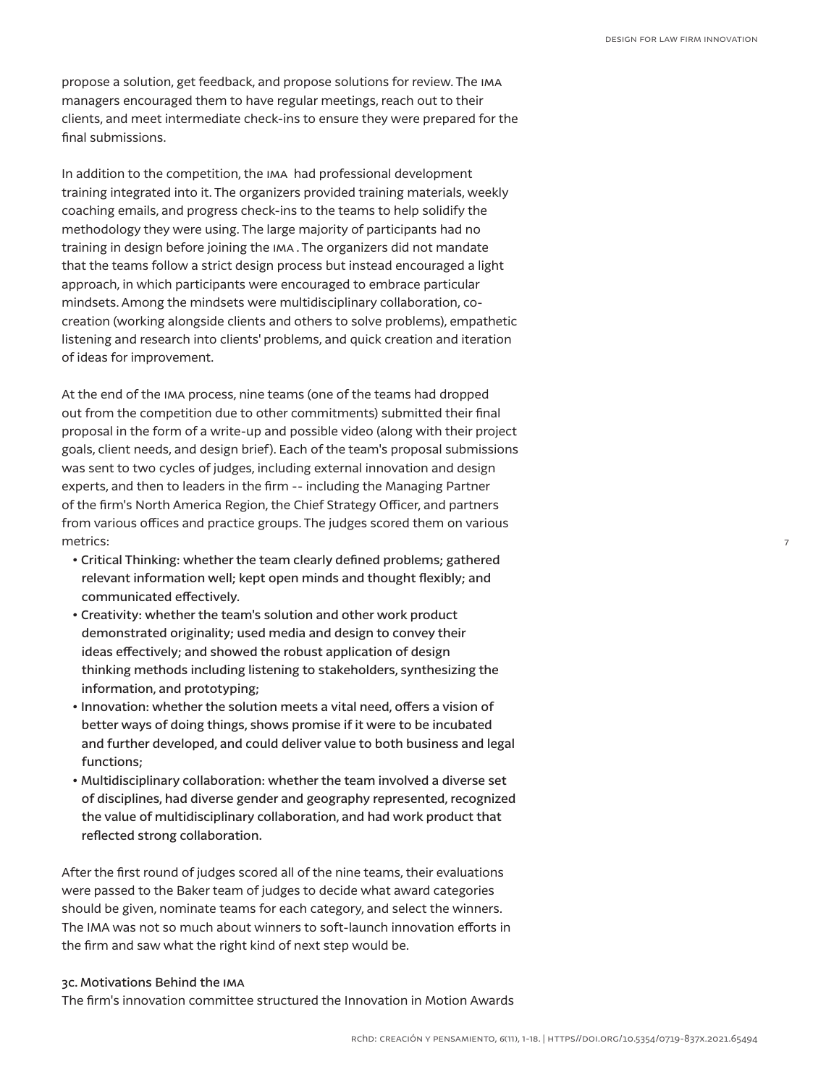7

propose a solution, get feedback, and propose solutions for review. The ima managers encouraged them to have regular meetings, reach out to their clients, and meet intermediate check-ins to ensure they were prepared for the final submissions.

In addition to the competition, the ima had professional development training integrated into it. The organizers provided training materials, weekly coaching emails, and progress check-ins to the teams to help solidify the methodology they were using. The large majority of participants had no training in design before joining the ima . The organizers did not mandate that the teams follow a strict design process but instead encouraged a light approach, in which participants were encouraged to embrace particular mindsets. Among the mindsets were multidisciplinary collaboration, cocreation (working alongside clients and others to solve problems), empathetic listening and research into clients' problems, and quick creation and iteration of ideas for improvement.

At the end of the ima process, nine teams (one of the teams had dropped out from the competition due to other commitments) submitted their final proposal in the form of a write-up and possible video (along with their project goals, client needs, and design brief). Each of the team's proposal submissions was sent to two cycles of judges, including external innovation and design experts, and then to leaders in the firm -- including the Managing Partner of the firm's North America Region, the Chief Strategy Officer, and partners from various offices and practice groups. The judges scored them on various metrics:

- Critical Thinking: whether the team clearly defined problems; gathered relevant information well; kept open minds and thought flexibly; and communicated effectively.
- Creativity: whether the team's solution and other work product demonstrated originality; used media and design to convey their ideas effectively; and showed the robust application of design thinking methods including listening to stakeholders, synthesizing the information, and prototyping;
- Innovation: whether the solution meets a vital need, offers a vision of better ways of doing things, shows promise if it were to be incubated and further developed, and could deliver value to both business and legal functions;
- Multidisciplinary collaboration: whether the team involved a diverse set of disciplines, had diverse gender and geography represented, recognized the value of multidisciplinary collaboration, and had work product that reflected strong collaboration.

After the first round of judges scored all of the nine teams, their evaluations were passed to the Baker team of judges to decide what award categories should be given, nominate teams for each category, and select the winners. The IMA was not so much about winners to soft-launch innovation efforts in the firm and saw what the right kind of next step would be.

## 3c. Motivations Behind the ima

The firm's innovation committee structured the Innovation in Motion Awards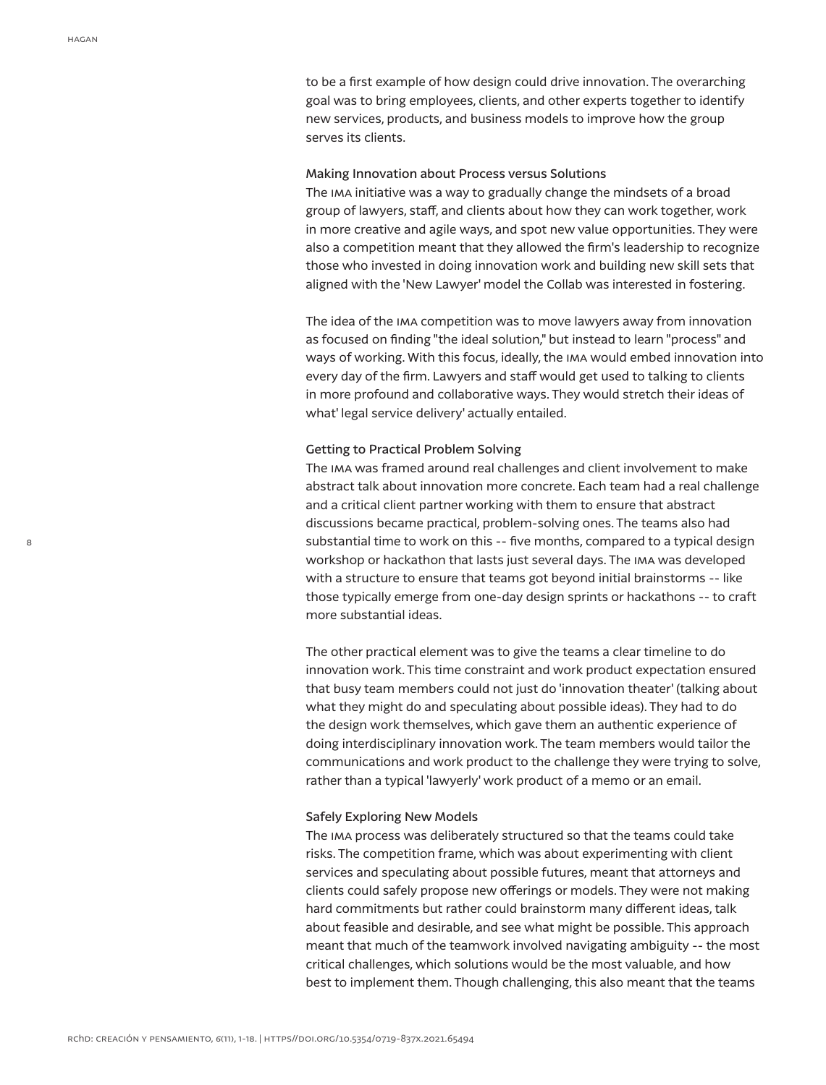to be a first example of how design could drive innovation. The overarching goal was to bring employees, clients, and other experts together to identify new services, products, and business models to improve how the group serves its clients.

## Making Innovation about Process versus Solutions

The ima initiative was a way to gradually change the mindsets of a broad group of lawyers, staff, and clients about how they can work together, work in more creative and agile ways, and spot new value opportunities. They were also a competition meant that they allowed the firm's leadership to recognize those who invested in doing innovation work and building new skill sets that aligned with the 'New Lawyer' model the Collab was interested in fostering.

The idea of the ima competition was to move lawyers away from innovation as focused on finding "the ideal solution," but instead to learn "process" and ways of working. With this focus, ideally, the ima would embed innovation into every day of the firm. Lawyers and staff would get used to talking to clients in more profound and collaborative ways. They would stretch their ideas of what' legal service delivery' actually entailed.

## Getting to Practical Problem Solving

The ima was framed around real challenges and client involvement to make abstract talk about innovation more concrete. Each team had a real challenge and a critical client partner working with them to ensure that abstract discussions became practical, problem-solving ones. The teams also had substantial time to work on this -- five months, compared to a typical design workshop or hackathon that lasts just several days. The ima was developed with a structure to ensure that teams got beyond initial brainstorms -- like those typically emerge from one-day design sprints or hackathons -- to craft more substantial ideas.

The other practical element was to give the teams a clear timeline to do innovation work. This time constraint and work product expectation ensured that busy team members could not just do 'innovation theater' (talking about what they might do and speculating about possible ideas). They had to do the design work themselves, which gave them an authentic experience of doing interdisciplinary innovation work. The team members would tailor the communications and work product to the challenge they were trying to solve, rather than a typical 'lawyerly' work product of a memo or an email.

## Safely Exploring New Models

The ima process was deliberately structured so that the teams could take risks. The competition frame, which was about experimenting with client services and speculating about possible futures, meant that attorneys and clients could safely propose new offerings or models. They were not making hard commitments but rather could brainstorm many different ideas, talk about feasible and desirable, and see what might be possible. This approach meant that much of the teamwork involved navigating ambiguity -- the most critical challenges, which solutions would be the most valuable, and how best to implement them. Though challenging, this also meant that the teams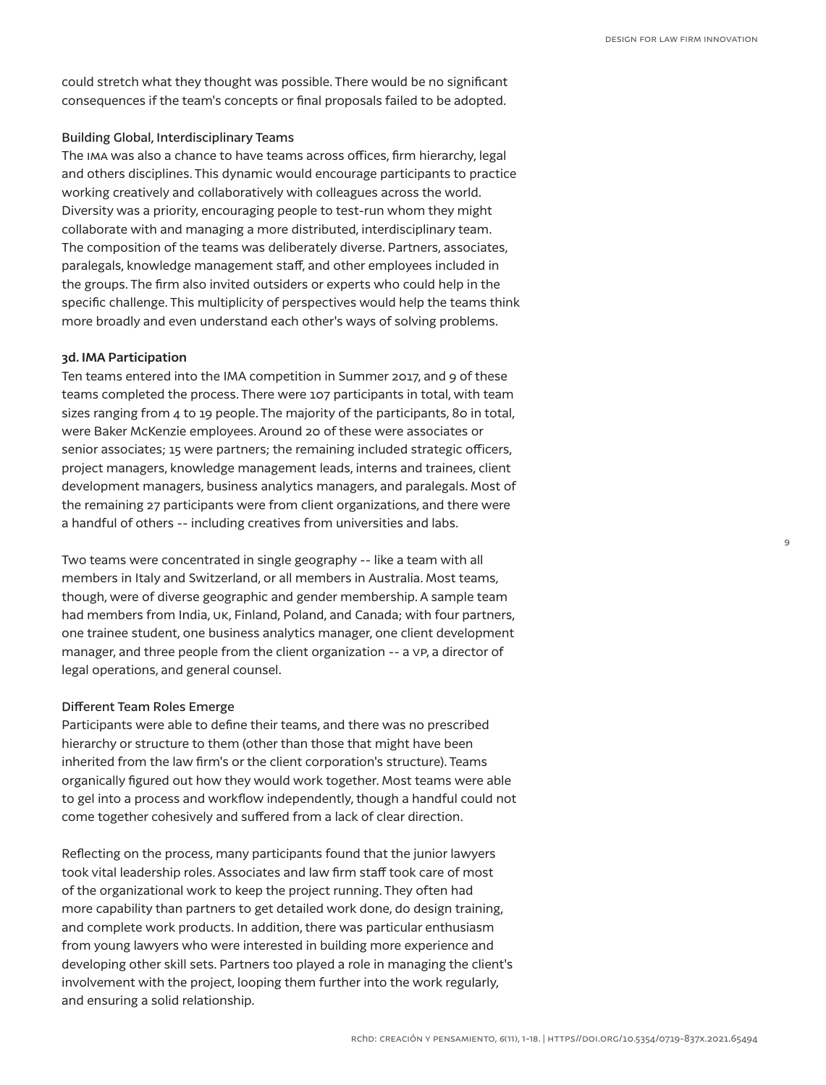could stretch what they thought was possible. There would be no significant consequences if the team's concepts or final proposals failed to be adopted.

# Building Global, Interdisciplinary Teams

The ima was also a chance to have teams across offices, firm hierarchy, legal and others disciplines. This dynamic would encourage participants to practice working creatively and collaboratively with colleagues across the world. Diversity was a priority, encouraging people to test-run whom they might collaborate with and managing a more distributed, interdisciplinary team. The composition of the teams was deliberately diverse. Partners, associates, paralegals, knowledge management staff, and other employees included in the groups. The firm also invited outsiders or experts who could help in the specific challenge. This multiplicity of perspectives would help the teams think more broadly and even understand each other's ways of solving problems.

## **3d. IMA Participation**

Ten teams entered into the IMA competition in Summer 2017, and 9 of these teams completed the process. There were 107 participants in total, with team sizes ranging from 4 to 19 people. The majority of the participants, 80 in total, were Baker McKenzie employees. Around 20 of these were associates or senior associates; 15 were partners; the remaining included strategic officers, project managers, knowledge management leads, interns and trainees, client development managers, business analytics managers, and paralegals. Most of the remaining 27 participants were from client organizations, and there were a handful of others -- including creatives from universities and labs.

Two teams were concentrated in single geography -- like a team with all members in Italy and Switzerland, or all members in Australia. Most teams, though, were of diverse geographic and gender membership. A sample team had members from India, UK, Finland, Poland, and Canada; with four partners, one trainee student, one business analytics manager, one client development manager, and three people from the client organization -- a vp, a director of legal operations, and general counsel.

## Different Team Roles Emerge

Participants were able to define their teams, and there was no prescribed hierarchy or structure to them (other than those that might have been inherited from the law firm's or the client corporation's structure). Teams organically figured out how they would work together. Most teams were able to gel into a process and workflow independently, though a handful could not come together cohesively and suffered from a lack of clear direction.

Reflecting on the process, many participants found that the junior lawyers took vital leadership roles. Associates and law firm staff took care of most of the organizational work to keep the project running. They often had more capability than partners to get detailed work done, do design training, and complete work products. In addition, there was particular enthusiasm from young lawyers who were interested in building more experience and developing other skill sets. Partners too played a role in managing the client's involvement with the project, looping them further into the work regularly, and ensuring a solid relationship.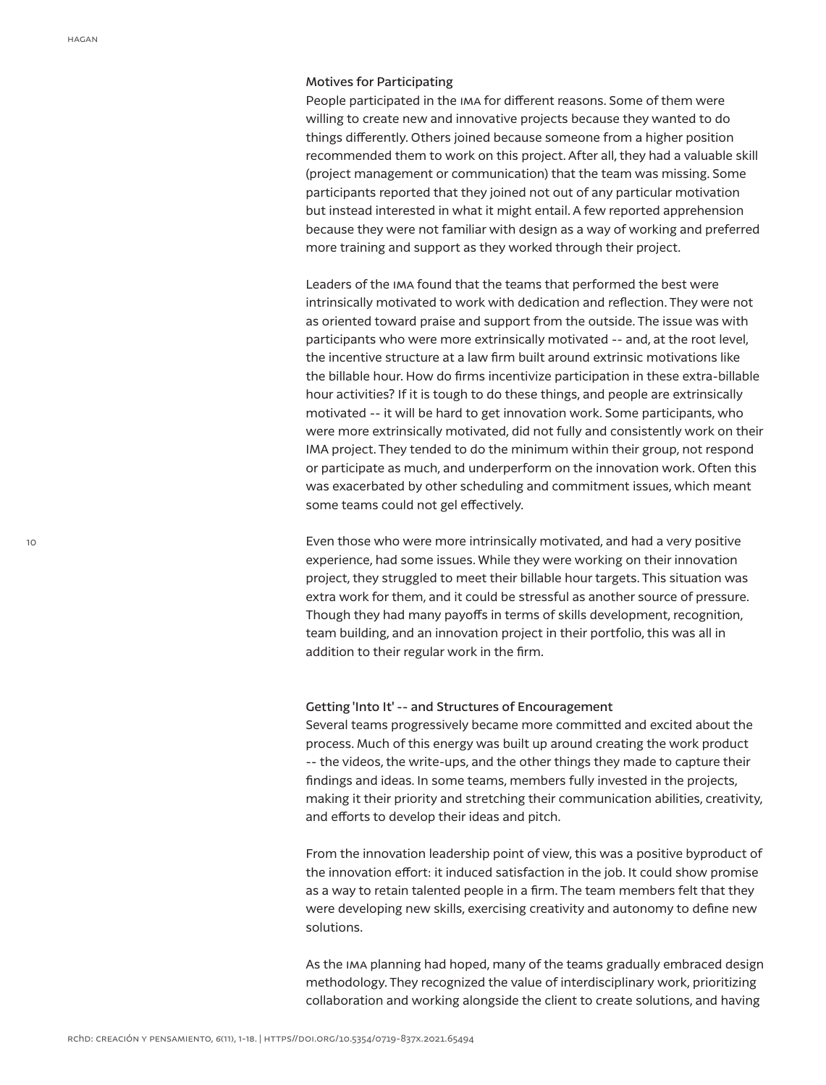## Motives for Participating

People participated in the ima for different reasons. Some of them were willing to create new and innovative projects because they wanted to do things differently. Others joined because someone from a higher position recommended them to work on this project. After all, they had a valuable skill (project management or communication) that the team was missing. Some participants reported that they joined not out of any particular motivation but instead interested in what it might entail. A few reported apprehension because they were not familiar with design as a way of working and preferred more training and support as they worked through their project.

Leaders of the ima found that the teams that performed the best were intrinsically motivated to work with dedication and reflection. They were not as oriented toward praise and support from the outside. The issue was with participants who were more extrinsically motivated -- and, at the root level, the incentive structure at a law firm built around extrinsic motivations like the billable hour. How do firms incentivize participation in these extra-billable hour activities? If it is tough to do these things, and people are extrinsically motivated -- it will be hard to get innovation work. Some participants, who were more extrinsically motivated, did not fully and consistently work on their IMA project. They tended to do the minimum within their group, not respond or participate as much, and underperform on the innovation work. Often this was exacerbated by other scheduling and commitment issues, which meant some teams could not gel effectively.

Even those who were more intrinsically motivated, and had a very positive experience, had some issues. While they were working on their innovation project, they struggled to meet their billable hour targets. This situation was extra work for them, and it could be stressful as another source of pressure. Though they had many payoffs in terms of skills development, recognition, team building, and an innovation project in their portfolio, this was all in addition to their regular work in the firm.

## Getting 'Into It' -- and Structures of Encouragement

Several teams progressively became more committed and excited about the process. Much of this energy was built up around creating the work product -- the videos, the write-ups, and the other things they made to capture their findings and ideas. In some teams, members fully invested in the projects, making it their priority and stretching their communication abilities, creativity, and efforts to develop their ideas and pitch.

From the innovation leadership point of view, this was a positive byproduct of the innovation effort: it induced satisfaction in the job. It could show promise as a way to retain talented people in a firm. The team members felt that they were developing new skills, exercising creativity and autonomy to define new solutions.

As the ima planning had hoped, many of the teams gradually embraced design methodology. They recognized the value of interdisciplinary work, prioritizing collaboration and working alongside the client to create solutions, and having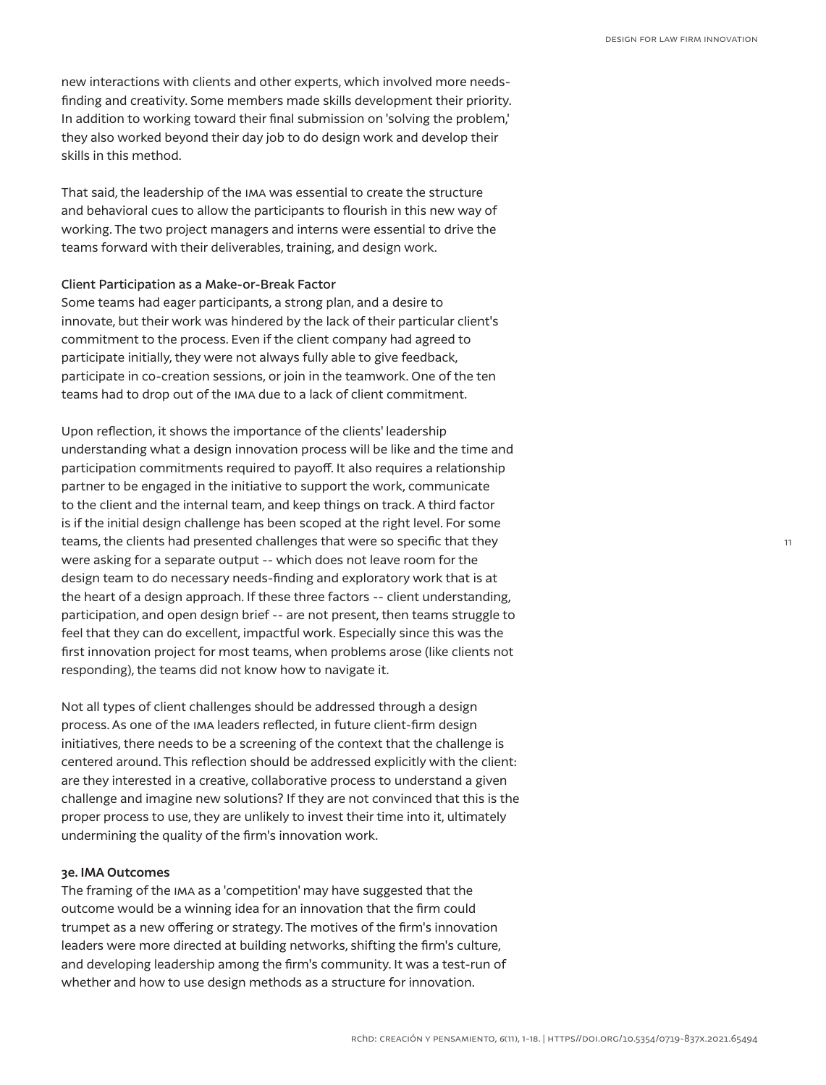new interactions with clients and other experts, which involved more needsfinding and creativity. Some members made skills development their priority. In addition to working toward their final submission on 'solving the problem,' they also worked beyond their day job to do design work and develop their skills in this method.

That said, the leadership of the ima was essential to create the structure and behavioral cues to allow the participants to flourish in this new way of working. The two project managers and interns were essential to drive the teams forward with their deliverables, training, and design work.

## Client Participation as a Make-or-Break Factor

Some teams had eager participants, a strong plan, and a desire to innovate, but their work was hindered by the lack of their particular client's commitment to the process. Even if the client company had agreed to participate initially, they were not always fully able to give feedback, participate in co-creation sessions, or join in the teamwork. One of the ten teams had to drop out of the ima due to a lack of client commitment.

Upon reflection, it shows the importance of the clients' leadership understanding what a design innovation process will be like and the time and participation commitments required to payoff. It also requires a relationship partner to be engaged in the initiative to support the work, communicate to the client and the internal team, and keep things on track. A third factor is if the initial design challenge has been scoped at the right level. For some teams, the clients had presented challenges that were so specific that they were asking for a separate output -- which does not leave room for the design team to do necessary needs-finding and exploratory work that is at the heart of a design approach. If these three factors -- client understanding, participation, and open design brief -- are not present, then teams struggle to feel that they can do excellent, impactful work. Especially since this was the first innovation project for most teams, when problems arose (like clients not responding), the teams did not know how to navigate it.

Not all types of client challenges should be addressed through a design process. As one of the ima leaders reflected, in future client-firm design initiatives, there needs to be a screening of the context that the challenge is centered around. This reflection should be addressed explicitly with the client: are they interested in a creative, collaborative process to understand a given challenge and imagine new solutions? If they are not convinced that this is the proper process to use, they are unlikely to invest their time into it, ultimately undermining the quality of the firm's innovation work.

## **3e. IMA Outcomes**

The framing of the ima as a 'competition' may have suggested that the outcome would be a winning idea for an innovation that the firm could trumpet as a new offering or strategy. The motives of the firm's innovation leaders were more directed at building networks, shifting the firm's culture, and developing leadership among the firm's community. It was a test-run of whether and how to use design methods as a structure for innovation.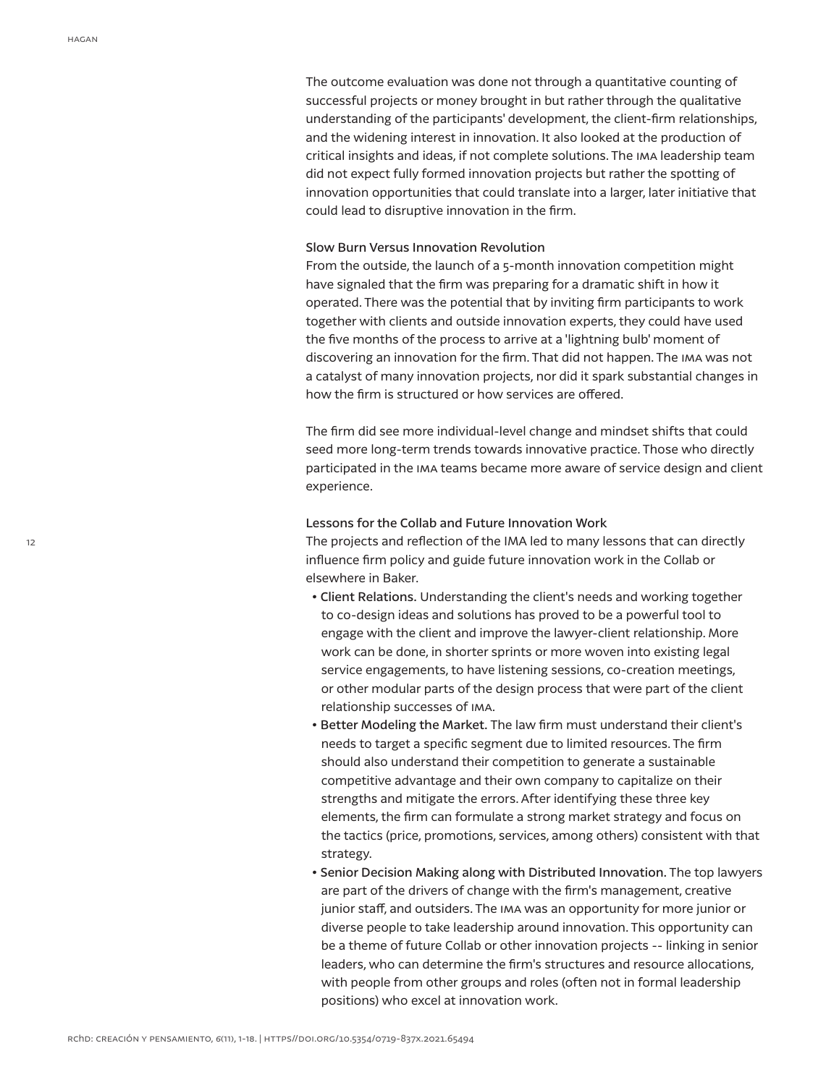The outcome evaluation was done not through a quantitative counting of successful projects or money brought in but rather through the qualitative understanding of the participants' development, the client-firm relationships, and the widening interest in innovation. It also looked at the production of critical insights and ideas, if not complete solutions. The ima leadership team did not expect fully formed innovation projects but rather the spotting of innovation opportunities that could translate into a larger, later initiative that could lead to disruptive innovation in the firm.

#### Slow Burn Versus Innovation Revolution

From the outside, the launch of a 5-month innovation competition might have signaled that the firm was preparing for a dramatic shift in how it operated. There was the potential that by inviting firm participants to work together with clients and outside innovation experts, they could have used the five months of the process to arrive at a 'lightning bulb' moment of discovering an innovation for the firm. That did not happen. The ima was not a catalyst of many innovation projects, nor did it spark substantial changes in how the firm is structured or how services are offered.

The firm did see more individual-level change and mindset shifts that could seed more long-term trends towards innovative practice. Those who directly participated in the ima teams became more aware of service design and client experience.

## Lessons for the Collab and Future Innovation Work

The projects and reflection of the IMA led to many lessons that can directly influence firm policy and guide future innovation work in the Collab or elsewhere in Baker.

- Client Relations. Understanding the client's needs and working together to co-design ideas and solutions has proved to be a powerful tool to engage with the client and improve the lawyer-client relationship. More work can be done, in shorter sprints or more woven into existing legal service engagements, to have listening sessions, co-creation meetings, or other modular parts of the design process that were part of the client relationship successes of ima.
- Better Modeling the Market. The law firm must understand their client's needs to target a specific segment due to limited resources. The firm should also understand their competition to generate a sustainable competitive advantage and their own company to capitalize on their strengths and mitigate the errors. After identifying these three key elements, the firm can formulate a strong market strategy and focus on the tactics (price, promotions, services, among others) consistent with that strategy.
- Senior Decision Making along with Distributed Innovation. The top lawyers are part of the drivers of change with the firm's management, creative junior staff, and outsiders. The ima was an opportunity for more junior or diverse people to take leadership around innovation. This opportunity can be a theme of future Collab or other innovation projects -- linking in senior leaders, who can determine the firm's structures and resource allocations, with people from other groups and roles (often not in formal leadership positions) who excel at innovation work.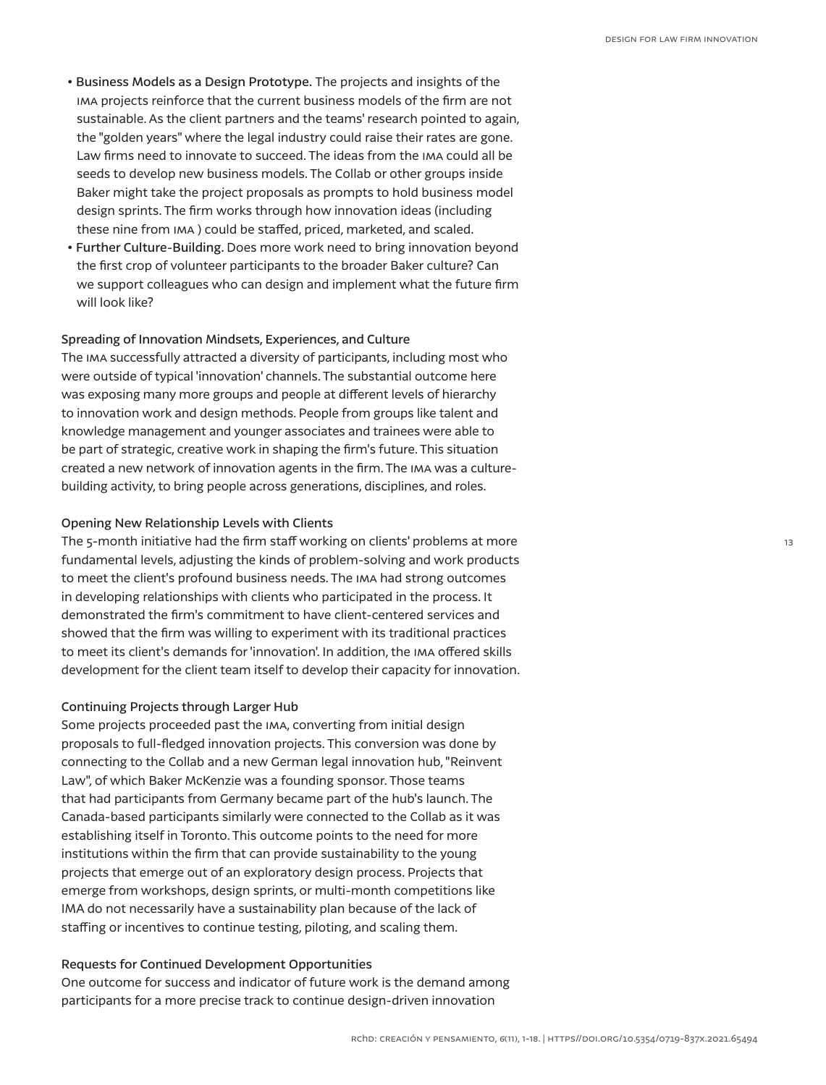- Business Models as a Design Prototype. The projects and insights of the ima projects reinforce that the current business models of the firm are not sustainable. As the client partners and the teams' research pointed to again, the "golden years" where the legal industry could raise their rates are gone. Law firms need to innovate to succeed. The ideas from the ima could all be seeds to develop new business models. The Collab or other groups inside Baker might take the project proposals as prompts to hold business model design sprints. The firm works through how innovation ideas (including these nine from ima ) could be staffed, priced, marketed, and scaled.
- Further Culture-Building. Does more work need to bring innovation beyond the first crop of volunteer participants to the broader Baker culture? Can we support colleagues who can design and implement what the future firm will look like?

## Spreading of Innovation Mindsets, Experiences, and Culture

The ima successfully attracted a diversity of participants, including most who were outside of typical 'innovation' channels. The substantial outcome here was exposing many more groups and people at different levels of hierarchy to innovation work and design methods. People from groups like talent and knowledge management and younger associates and trainees were able to be part of strategic, creative work in shaping the firm's future. This situation created a new network of innovation agents in the firm. The ima was a culturebuilding activity, to bring people across generations, disciplines, and roles.

## Opening New Relationship Levels with Clients

The 5-month initiative had the firm staff working on clients' problems at more fundamental levels, adjusting the kinds of problem-solving and work products to meet the client's profound business needs. The ima had strong outcomes in developing relationships with clients who participated in the process. It demonstrated the firm's commitment to have client-centered services and showed that the firm was willing to experiment with its traditional practices to meet its client's demands for 'innovation'. In addition, the ima offered skills development for the client team itself to develop their capacity for innovation.

## Continuing Projects through Larger Hub

Some projects proceeded past the ima, converting from initial design proposals to full-fledged innovation projects. This conversion was done by connecting to the Collab and a new German legal innovation hub, "Reinvent Law", of which Baker McKenzie was a founding sponsor. Those teams that had participants from Germany became part of the hub's launch. The Canada-based participants similarly were connected to the Collab as it was establishing itself in Toronto. This outcome points to the need for more institutions within the firm that can provide sustainability to the young projects that emerge out of an exploratory design process. Projects that emerge from workshops, design sprints, or multi-month competitions like IMA do not necessarily have a sustainability plan because of the lack of staffing or incentives to continue testing, piloting, and scaling them.

## Requests for Continued Development Opportunities

One outcome for success and indicator of future work is the demand among participants for a more precise track to continue design-driven innovation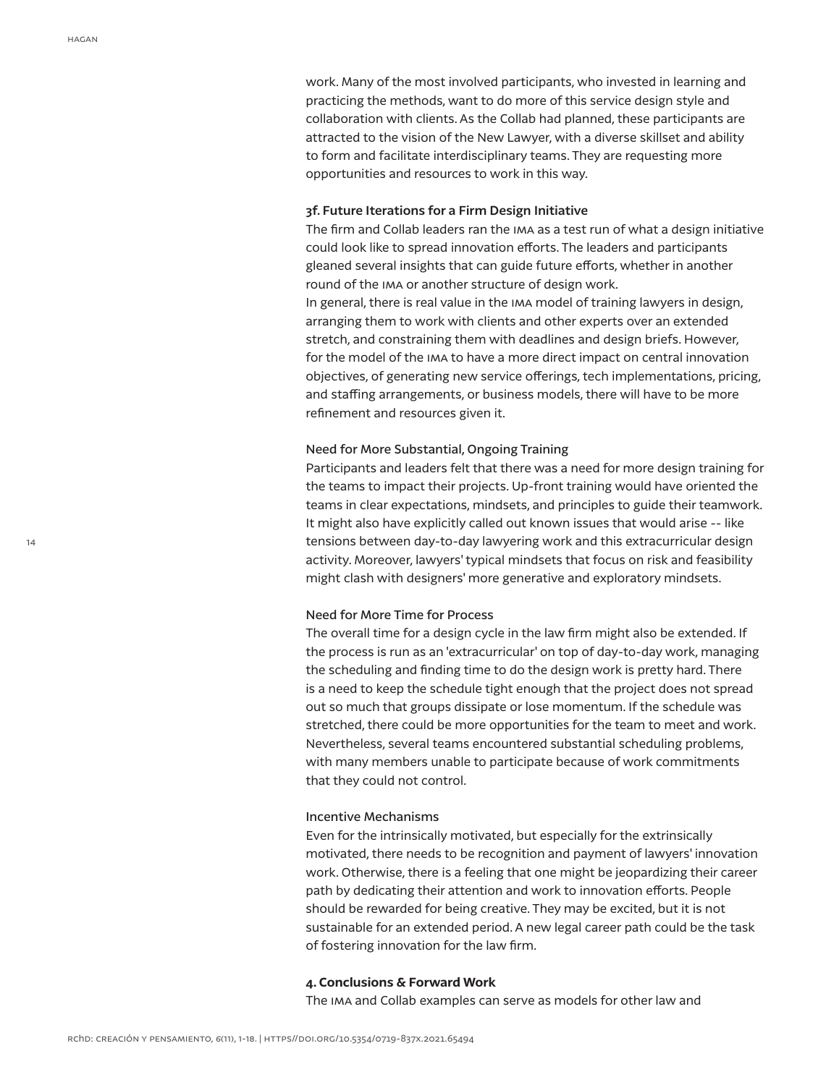work. Many of the most involved participants, who invested in learning and practicing the methods, want to do more of this service design style and collaboration with clients. As the Collab had planned, these participants are attracted to the vision of the New Lawyer, with a diverse skillset and ability to form and facilitate interdisciplinary teams. They are requesting more opportunities and resources to work in this way.

## **3f. Future Iterations for a Firm Design Initiative**

The firm and Collab leaders ran the ima as a test run of what a design initiative could look like to spread innovation efforts. The leaders and participants gleaned several insights that can guide future efforts, whether in another round of the ima or another structure of design work.

In general, there is real value in the IMA model of training lawyers in design, arranging them to work with clients and other experts over an extended stretch, and constraining them with deadlines and design briefs. However, for the model of the ima to have a more direct impact on central innovation objectives, of generating new service offerings, tech implementations, pricing, and staffing arrangements, or business models, there will have to be more refinement and resources given it.

## Need for More Substantial, Ongoing Training

Participants and leaders felt that there was a need for more design training for the teams to impact their projects. Up-front training would have oriented the teams in clear expectations, mindsets, and principles to guide their teamwork. It might also have explicitly called out known issues that would arise -- like tensions between day-to-day lawyering work and this extracurricular design activity. Moreover, lawyers' typical mindsets that focus on risk and feasibility might clash with designers' more generative and exploratory mindsets.

## Need for More Time for Process

The overall time for a design cycle in the law firm might also be extended. If the process is run as an 'extracurricular' on top of day-to-day work, managing the scheduling and finding time to do the design work is pretty hard. There is a need to keep the schedule tight enough that the project does not spread out so much that groups dissipate or lose momentum. If the schedule was stretched, there could be more opportunities for the team to meet and work. Nevertheless, several teams encountered substantial scheduling problems, with many members unable to participate because of work commitments that they could not control.

#### Incentive Mechanisms

Even for the intrinsically motivated, but especially for the extrinsically motivated, there needs to be recognition and payment of lawyers' innovation work. Otherwise, there is a feeling that one might be jeopardizing their career path by dedicating their attention and work to innovation efforts. People should be rewarded for being creative. They may be excited, but it is not sustainable for an extended period. A new legal career path could be the task of fostering innovation for the law firm.

#### **4. Conclusions & Forward Work**

The ima and Collab examples can serve as models for other law and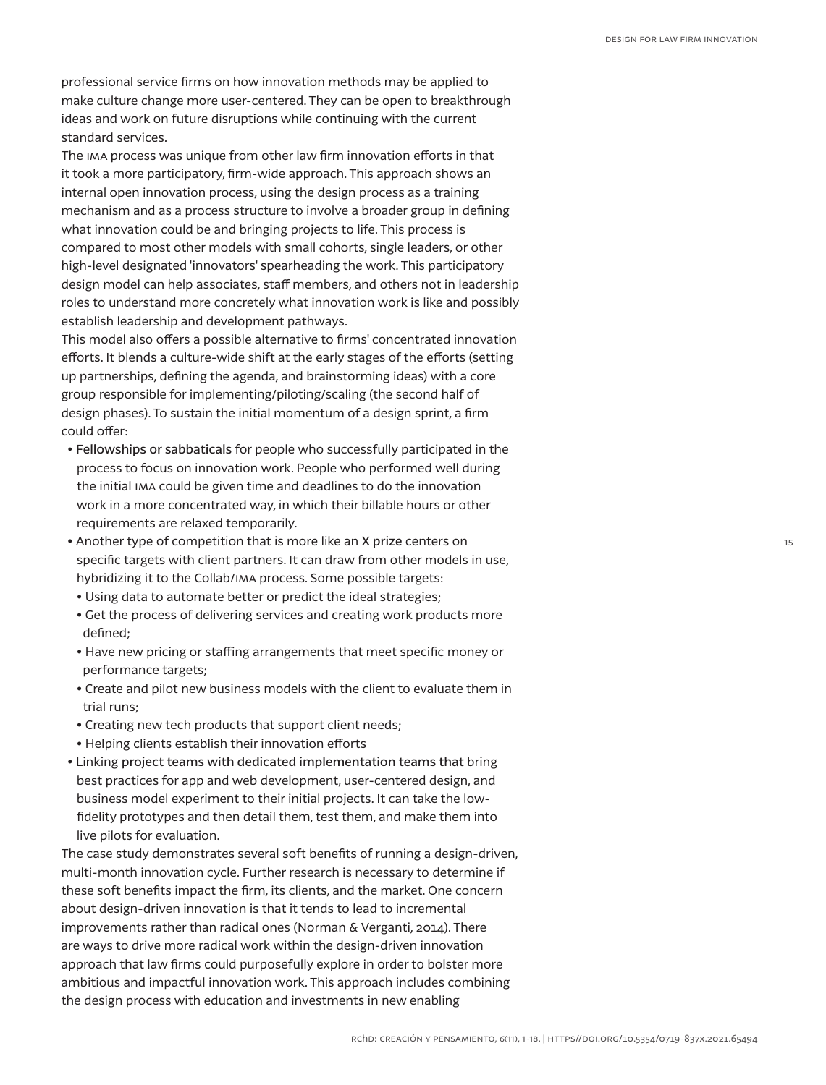professional service firms on how innovation methods may be applied to make culture change more user-centered. They can be open to breakthrough ideas and work on future disruptions while continuing with the current standard services.

The ima process was unique from other law firm innovation efforts in that it took a more participatory, firm-wide approach. This approach shows an internal open innovation process, using the design process as a training mechanism and as a process structure to involve a broader group in defining what innovation could be and bringing projects to life. This process is compared to most other models with small cohorts, single leaders, or other high-level designated 'innovators' spearheading the work. This participatory design model can help associates, staff members, and others not in leadership roles to understand more concretely what innovation work is like and possibly establish leadership and development pathways.

This model also offers a possible alternative to firms' concentrated innovation efforts. It blends a culture-wide shift at the early stages of the efforts (setting up partnerships, defining the agenda, and brainstorming ideas) with a core group responsible for implementing/piloting/scaling (the second half of design phases). To sustain the initial momentum of a design sprint, a firm could offer:

- Fellowships or sabbaticals for people who successfully participated in the process to focus on innovation work. People who performed well during the initial ima could be given time and deadlines to do the innovation work in a more concentrated way, in which their billable hours or other requirements are relaxed temporarily.
- Another type of competition that is more like an X prize centers on specific targets with client partners. It can draw from other models in use, hybridizing it to the Collab/ima process. Some possible targets:
- Using data to automate better or predict the ideal strategies;
- Get the process of delivering services and creating work products more defined;
- Have new pricing or staffing arrangements that meet specific money or performance targets;
- Create and pilot new business models with the client to evaluate them in trial runs;
- Creating new tech products that support client needs;
- Helping clients establish their innovation efforts
- Linking project teams with dedicated implementation teams that bring best practices for app and web development, user-centered design, and business model experiment to their initial projects. It can take the lowfidelity prototypes and then detail them, test them, and make them into live pilots for evaluation.

The case study demonstrates several soft benefits of running a design-driven, multi-month innovation cycle. Further research is necessary to determine if these soft benefits impact the firm, its clients, and the market. One concern about design-driven innovation is that it tends to lead to incremental improvements rather than radical ones (Norman & Verganti, 2014). There are ways to drive more radical work within the design-driven innovation approach that law firms could purposefully explore in order to bolster more ambitious and impactful innovation work. This approach includes combining the design process with education and investments in new enabling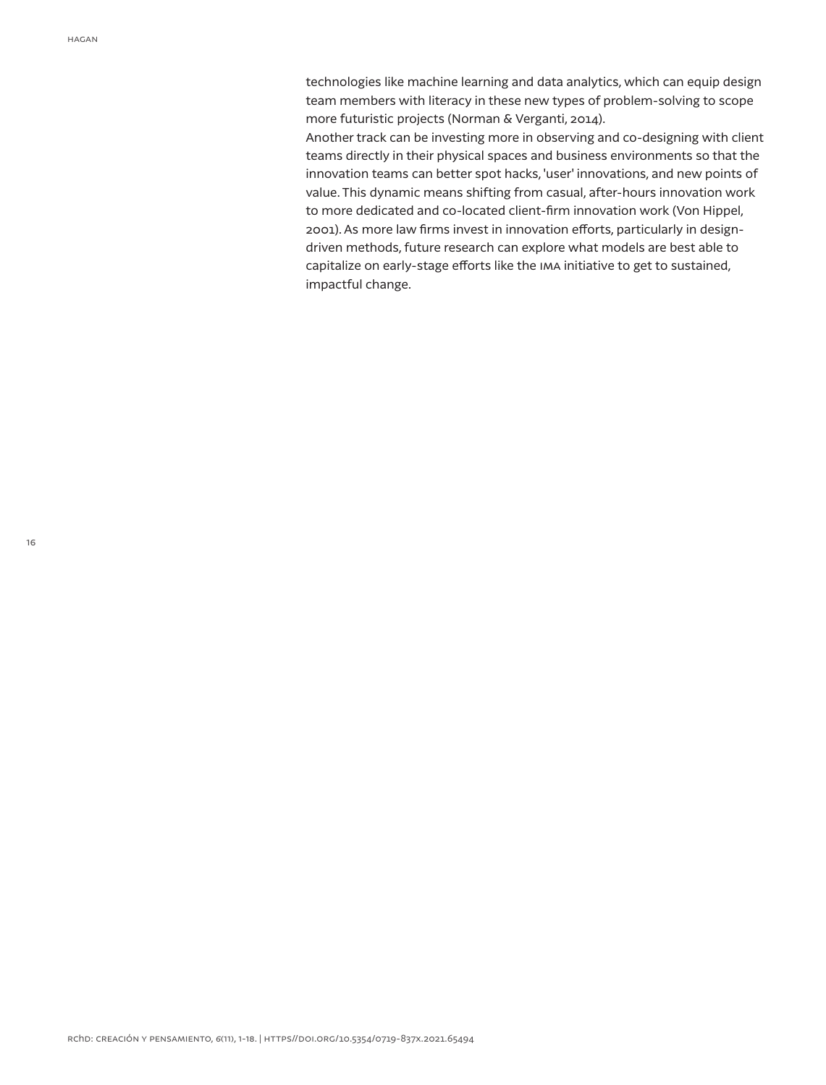technologies like machine learning and data analytics, which can equip design team members with literacy in these new types of problem-solving to scope more futuristic projects (Norman & Verganti, 2014).

Another track can be investing more in observing and co-designing with client teams directly in their physical spaces and business environments so that the innovation teams can better spot hacks, 'user' innovations, and new points of value. This dynamic means shifting from casual, after-hours innovation work to more dedicated and co-located client-firm innovation work (Von Hippel, 2001). As more law firms invest in innovation efforts, particularly in designdriven methods, future research can explore what models are best able to capitalize on early-stage efforts like the ima initiative to get to sustained, impactful change.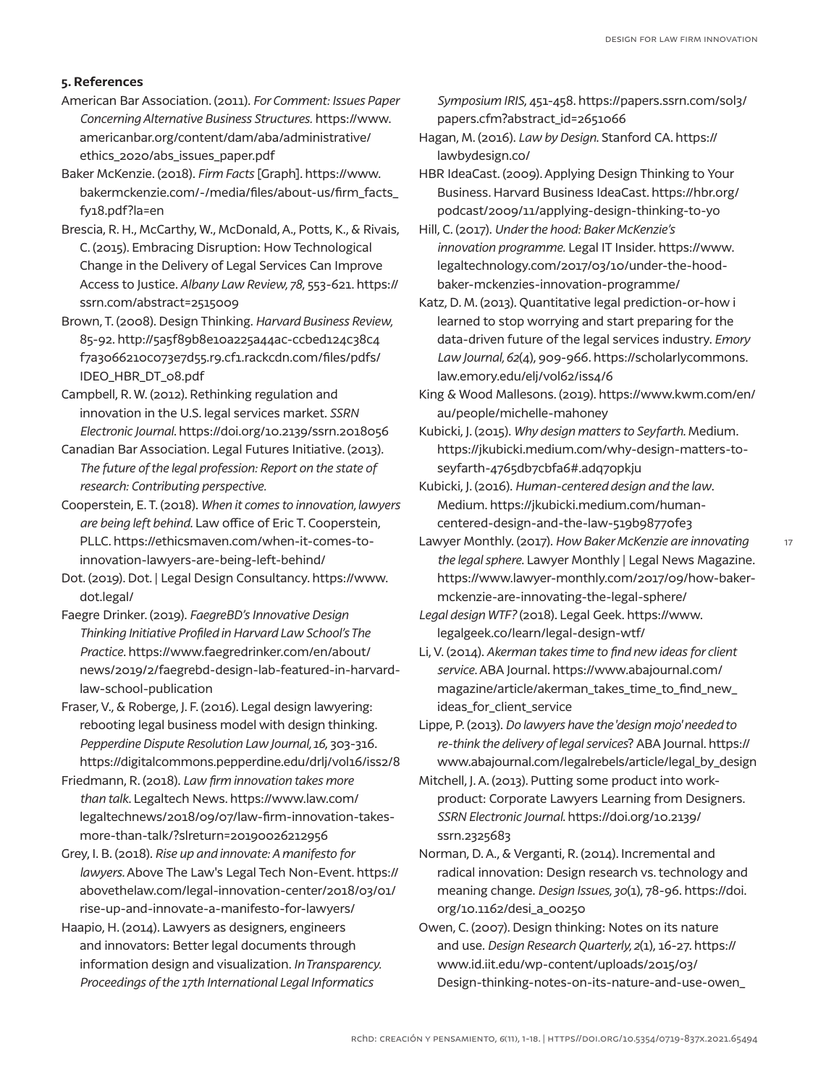# **5. References**

- American Bar Association. (2011). *For Comment: Issues Paper Concerning Alternative Business Structures.* https://www. americanbar.org/content/dam/aba/administrative/ ethics\_2020/abs\_issues\_paper.pdf
- Baker McKenzie. (2018). *Firm Facts* [Graph]. https://www. bakermckenzie.com/-/media/files/about-us/firm\_facts\_ fy18.pdf?la=en
- Brescia, R. H., McCarthy, W., McDonald, A., Potts, K., & Rivais, C. (2015). Embracing Disruption: How Technological Change in the Delivery of Legal Services Can Improve Access to Justice. *Albany Law Review, 78*, 553-621. https:// ssrn.com/abstract=2515009
- Brown, T. (2008). Design Thinking. *Harvard Business Review,* 85-92. http://5a5f89b8e10a225a44ac-ccbed124c38c4 f7a3066210c073e7d55.r9.cf1.rackcdn.com/files/pdfs/ IDEO\_HBR\_DT\_08.pdf
- Campbell, R. W. (2012). Rethinking regulation and innovation in the U.S. legal services market. *SSRN Electronic Journal*. https://doi.org/10.2139/ssrn.2018056
- Canadian Bar Association. Legal Futures Initiative. (2013). *The future of the legal profession: Report on the state of research: Contributing perspective.*
- Cooperstein, E. T. (2018). *When it comes to innovation, lawyers are being left behind*. Law office of Eric T. Cooperstein, PLLC. https://ethicsmaven.com/when-it-comes-toinnovation-lawyers-are-being-left-behind/
- Dot. (2019). Dot. | Legal Design Consultancy. https://www. dot.legal/
- Faegre Drinker. (2019). *FaegreBD's Innovative Design Thinking Initiative Profiled in Harvard Law School's The Practice*. https://www.faegredrinker.com/en/about/ news/2019/2/faegrebd-design-lab-featured-in-harvardlaw-school-publication
- Fraser, V., & Roberge, J. F. (2016). Legal design lawyering: rebooting legal business model with design thinking. *Pepperdine Dispute Resolution Law Journal, 16*, 303-316. https://digitalcommons.pepperdine.edu/drlj/vol16/iss2/8
- Friedmann, R. (2018). *Law firm innovation takes more than talk*. Legaltech News. https://www.law.com/ legaltechnews/2018/09/07/law-firm-innovation-takesmore-than-talk/?slreturn=20190026212956
- Grey, I. B. (2018). *Rise up and innovate: A manifesto for lawyers*. Above The Law's Legal Tech Non-Event. https:// abovethelaw.com/legal-innovation-center/2018/03/01/ rise-up-and-innovate-a-manifesto-for-lawyers/
- Haapio, H. (2014). Lawyers as designers, engineers and innovators: Better legal documents through information design and visualization. *In Transparency. Proceedings of the 17th International Legal Informatics*

*Symposium IRIS*, 451-458. https://papers.ssrn.com/sol3/ papers.cfm?abstract\_id=2651066

- Hagan, M. (2016). *Law by Design*. Stanford CA. https:// lawbydesign.co/
- HBR IdeaCast. (2009). Applying Design Thinking to Your Business. Harvard Business IdeaCast. https://hbr.org/ podcast/2009/11/applying-design-thinking-to-yo
- Hill, C. (2017). *Under the hood: Baker McKenzie's innovation programme.* Legal IT Insider. https://www. legaltechnology.com/2017/03/10/under-the-hoodbaker-mckenzies-innovation-programme/
- Katz, D. M. (2013). Quantitative legal prediction-or-how i learned to stop worrying and start preparing for the data-driven future of the legal services industry. *Emory Law Journal, 62*(4), 909-966. https://scholarlycommons. law.emory.edu/elj/vol62/iss4/6
- King & Wood Mallesons. (2019). https://www.kwm.com/en/ au/people/michelle-mahoney
- Kubicki, J. (2015). *Why design matters to Seyfarth*. Medium. https://jkubicki.medium.com/why-design-matters-toseyfarth-4765db7cbfa6#.adq7opkju
- Kubicki, J. (2016). *Human-centered design and the law*. Medium. https://jkubicki.medium.com/humancentered-design-and-the-law-519b98770fe3
- Lawyer Monthly. (2017). *How Baker McKenzie are innovating the legal sphere*. Lawyer Monthly | Legal News Magazine. https://www.lawyer-monthly.com/2017/09/how-bakermckenzie-are-innovating-the-legal-sphere/
- *Legal design WTF?* (2018). Legal Geek. https://www. legalgeek.co/learn/legal-design-wtf/
- Li, V. (2014). *Akerman takes time to find new ideas for client service*. ABA Journal. https://www.abajournal.com/ magazine/article/akerman\_takes\_time\_to\_find\_new\_ ideas\_for\_client\_service
- Lippe, P. (2013). *Do lawyers have the 'design mojo' needed to re-think the delivery of legal services*? ABA Journal. https:// www.abajournal.com/legalrebels/article/legal\_by\_design
- Mitchell, J. A. (2013). Putting some product into workproduct: Corporate Lawyers Learning from Designers. *SSRN Electronic Journal*. https://doi.org/10.2139/ ssrn.2325683
- Norman, D. A., & Verganti, R. (2014). Incremental and radical innovation: Design research vs. technology and meaning change. *Design Issues, 30*(1), 78-96. https://doi. org/10.1162/desi\_a\_00250
- Owen, C. (2007). Design thinking: Notes on its nature and use. *Design Research Quarterly, 2*(1), 16-27. https:// www.id.iit.edu/wp-content/uploads/2015/03/ Design-thinking-notes-on-its-nature-and-use-owen\_